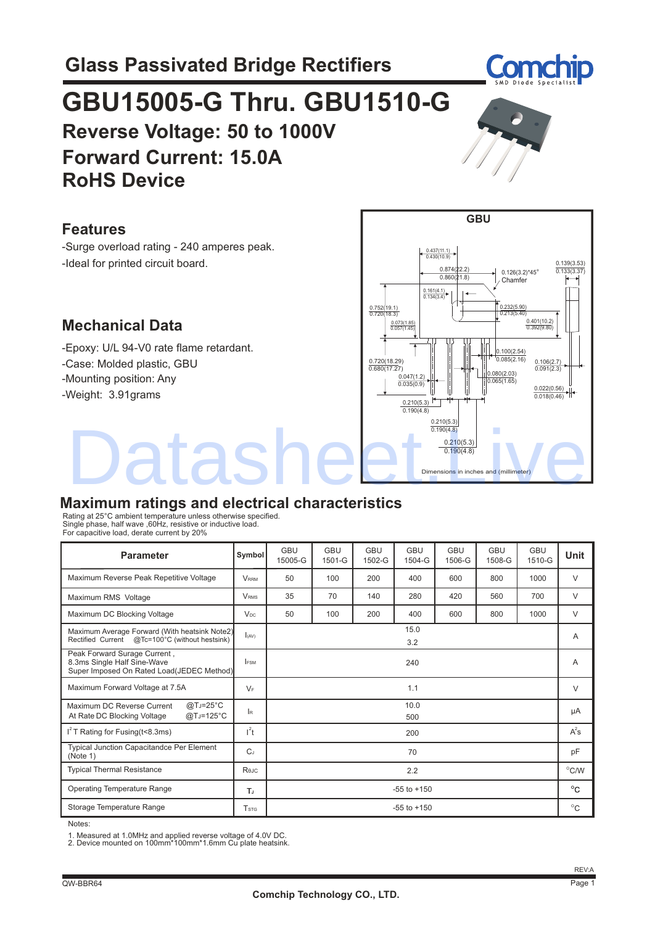# **GBU15005-G Thru. GBU1510-G Reverse Voltage: 50 to 1000V Forward Current: 15.0A RoHS Device**

#### **Features**

 -Surge overload rating - 240 amperes peak. -Ideal for printed circuit board.

### **Mechanical Data**

 -Epoxy: U/L 94-V0 rate flame retardant. -Mounting position: Any -Case: Molded plastic, GBU -Weight: 3.91grams

### **Maximum ratings and electrical characteristics**

Rating at 25°C ambient temperature unless otherwise specified. Single phase, half wave ,60Hz, resistive or inductive load. For capacitive load, derate current by 20%

| <b>Parameter</b>                                                                                         | Symbol                  | <b>GBU</b><br>15005-G | <b>GBU</b><br>$1501 - G$ | <b>GBU</b><br>1502-G | <b>GBU</b><br>1504-G | <b>GBU</b><br>1506-G | <b>GBU</b><br>1508-G | <b>GBU</b><br>1510-G | <b>Unit</b> |
|----------------------------------------------------------------------------------------------------------|-------------------------|-----------------------|--------------------------|----------------------|----------------------|----------------------|----------------------|----------------------|-------------|
| Maximum Reverse Peak Repetitive Voltage                                                                  | <b>VRRM</b>             | 50                    | 100                      | 200                  | 400                  | 600                  | 800                  | 1000                 | $\vee$      |
| Maximum RMS Voltage                                                                                      | <b>VRMS</b>             | 35                    | 70                       | 140                  | 280                  | 420                  | 560                  | 700                  | $\vee$      |
| Maximum DC Blocking Voltage                                                                              | $V_{DC}$                | 50                    | 100                      | 200                  | 400                  | 600                  | 800                  | 1000                 | $\vee$      |
| Maximum Average Forward (With heatsink Note2)<br>Rectified Current @Tc=100°C (without hestsink)          | $I_{(AV)}$              | 15.0<br>3.2           |                          |                      |                      | A                    |                      |                      |             |
| Peak Forward Surage Current,<br>8.3ms Single Half Sine-Wave<br>Super Imposed On Rated Load(JEDEC Method) | <b>IFSM</b>             | 240                   |                          |                      |                      | A                    |                      |                      |             |
| Maximum Forward Voltage at 7.5A                                                                          | $V_F$                   | 1.1                   |                          |                      |                      |                      | V                    |                      |             |
| @TJ=25°C<br>Maximum DC Reverse Current<br>@TJ=125°C<br>At Rate DC Blocking Voltage                       | l R                     | 10.0<br>500           |                          |                      |                      | μA                   |                      |                      |             |
| $I2$ T Rating for Fusing (t<8.3ms)                                                                       | $l^2t$                  | 200                   |                          |                      |                      | $A^2$ s              |                      |                      |             |
| Typical Junction Capacitandce Per Element<br>(Note 1)                                                    | $C_J$                   | 70                    |                          |                      |                      | pF                   |                      |                      |             |
| <b>Typical Thermal Resistance</b>                                                                        | Rejc                    | 2.2                   |                          |                      |                      |                      | $^{\circ}$ C/W       |                      |             |
| <b>Operating Temperature Range</b>                                                                       | T,                      | $-55$ to $+150$       |                          |                      |                      | $^{\circ}$ C         |                      |                      |             |
| Storage Temperature Range                                                                                | <b>T</b> <sub>STG</sub> | $-55$ to $+150$       |                          |                      | $^{\circ}$ C         |                      |                      |                      |             |

Notes:

1. Measured at 1.0MHz and applied reverse voltage of 4.0V DC. 2. Device mounted on 100mm\*100mm\*1.6mm Cu plate heatsink.





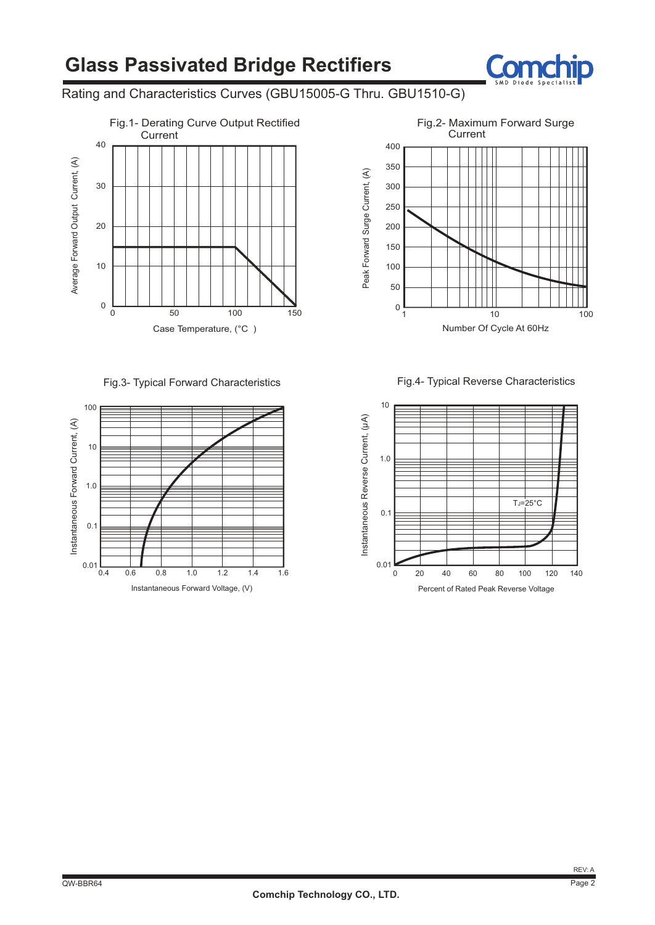## **Glass Passivated Bridge Rectifiers**



#### Rating and Characteristics Curves (GBU15005-G Thru. GBU1510-G)



Fig.3- Typical Forward Characteristics



**Current** 400 350 Peak Forward Surge Current, (A) Peak Forward Surge Current, (A) 300 250 200 150 100 50 0 1 10 100 Number Of Cycle At 60Hz

Fig.4- Typical Reverse Characteristics

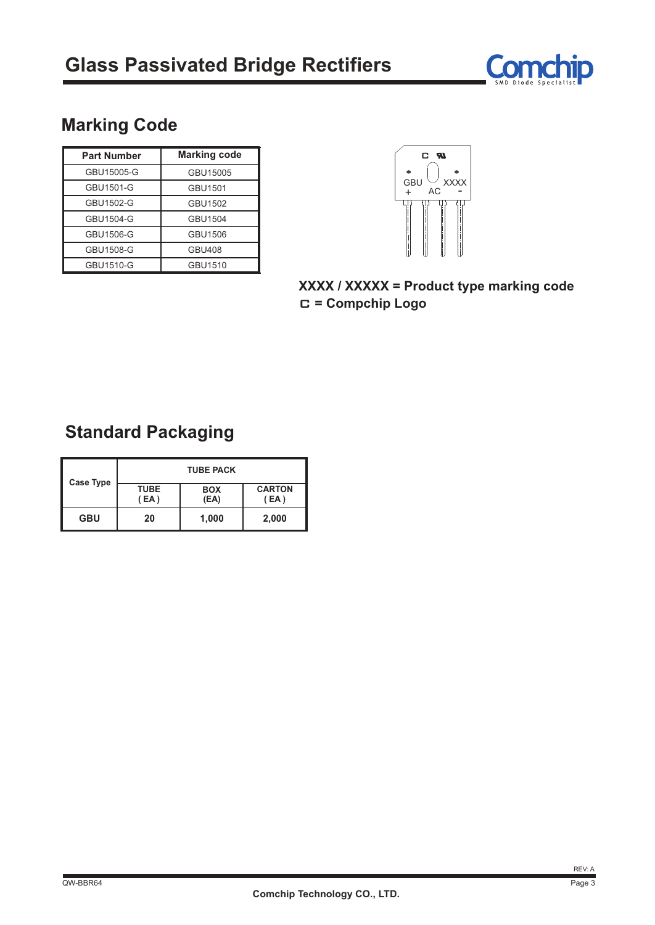

### **Marking Code**

| <b>Part Number</b> | <b>Marking code</b> |  |  |
|--------------------|---------------------|--|--|
| GBU15005-G         | GBU15005            |  |  |
| GBU1501-G          | GBU1501             |  |  |
| GBU1502-G          | GBU1502             |  |  |
| GBU1504-G          | GBU1504             |  |  |
| GBU1506-G          | GBU1506             |  |  |
| GBU1508-G          | <b>GBU408</b>       |  |  |
| GBU1510-G          | GBU1510             |  |  |



**XXXX / XXXXX = Product type marking code** C **= Compchip Logo**

### **Standard Packaging**

| Case Type  | <b>TUBE PACK</b>    |                    |                       |  |  |  |
|------------|---------------------|--------------------|-----------------------|--|--|--|
|            | <b>TUBE</b><br>(EA) | <b>BOX</b><br>(EA) | <b>CARTON</b><br>(EA) |  |  |  |
| <b>GBU</b> | 20                  | 1,000              | 2,000                 |  |  |  |